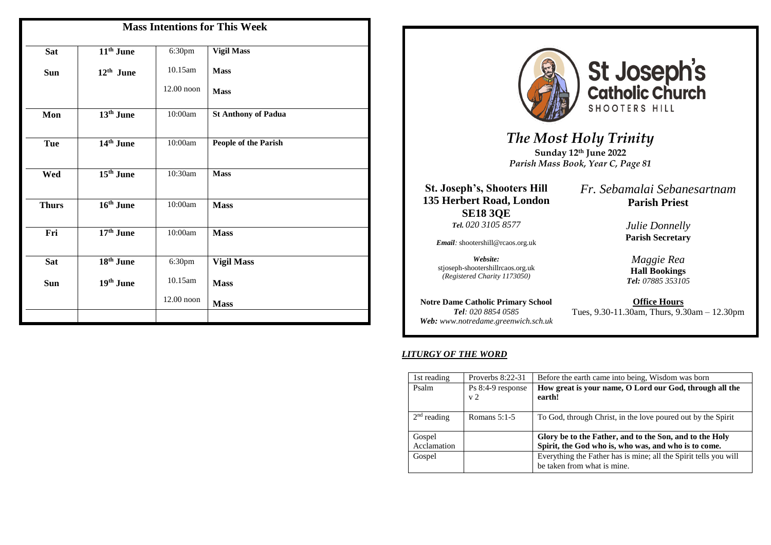| <b>Mass Intentions for This Week</b> |                                    |              |                            |  |
|--------------------------------------|------------------------------------|--------------|----------------------------|--|
| <b>Sat</b>                           | $\overline{11}$ <sup>th</sup> June | 6:30pm       | Vigil Mass                 |  |
| Sun                                  | $12th$ June                        | 10.15am      | <b>Mass</b>                |  |
|                                      |                                    | $12.00$ noon | <b>Mass</b>                |  |
| Mon                                  | 13 <sup>th</sup> June              | 10:00am      | <b>St Anthony of Padua</b> |  |
| <b>Tue</b>                           | 14th June                          | 10:00am      | People of the Parish       |  |
| Wed                                  | 15 <sup>th</sup> June              | 10:30am      | <b>Mass</b>                |  |
| <b>Thurs</b>                         | $16th$ June                        | 10:00am      | <b>Mass</b>                |  |
| Fri                                  | $17th$ June                        | 10:00am      | <b>Mass</b>                |  |
| Sat                                  | 18 <sup>th</sup> June              | 6:30pm       | <b>Vigil Mass</b>          |  |
| Sun                                  | 19th June                          | 10.15am      | <b>Mass</b>                |  |
|                                      |                                    | $12.00$ noon | <b>Mass</b>                |  |
|                                      |                                    |              |                            |  |



St Joseph's<br>catholic Church SHOOTERS HILL

*The Most Holy Trinity* **Sunday 12 th June 2022**  *Parish Mass Book, Year C, Page 81*

**St. Joseph's, Shooters Hill 135 Herbert Road, London SE18 3QE** *Tel. 020 3105 8577*

*Email:* shootershill@rcaos.org.uk

*Website:*  stjoseph-shootershillrcaos.org.uk *(Registered Charity 1173050)*

**Notre Dame Catholic Primary School** *Tel: 020 8854 0585 Web: www.notredame.greenwich.sch.uk* *Fr. Sebamalai Sebanesartnam* **Parish Priest**

> *Julie Donnelly* **Parish Secretary**

*Maggie Rea* **Hall Bookings**  *Tel: 07885 353105*

**Office Hours** Tues, 9.30-11.30am, Thurs, 9.30am – 12.30pm

#### *LITURGY OF THE WORD*

| 1st reading   | Proverbs $8:22-31$                  | Before the earth came into being, Wisdom was born                                               |
|---------------|-------------------------------------|-------------------------------------------------------------------------------------------------|
| Psalm         | Ps 8:4-9 response<br>v <sub>2</sub> | How great is your name, O Lord our God, through all the<br>earth!                               |
| $2nd$ reading | Romans $5:1-5$                      | To God, through Christ, in the love poured out by the Spirit                                    |
| Gospel        |                                     | Glory be to the Father, and to the Son, and to the Holy                                         |
| Acclamation   |                                     | Spirit, the God who is, who was, and who is to come.                                            |
| Gospel        |                                     | Everything the Father has is mine; all the Spirit tells you will<br>be taken from what is mine. |